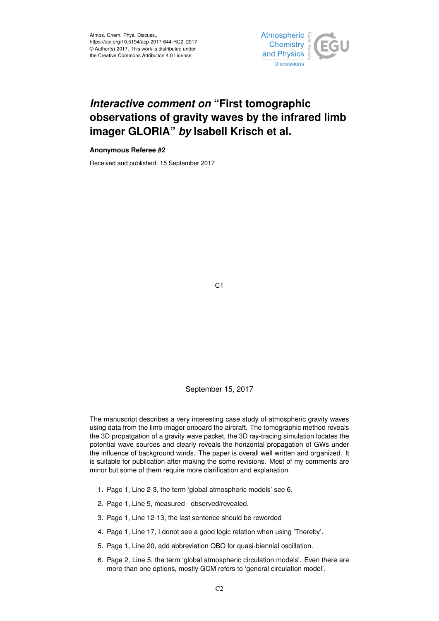

## *Interactive comment on* **"First tomographic observations of gravity waves by the infrared limb imager GLORIA"** *by* **Isabell Krisch et al.**

## **Anonymous Referee #2**

Received and published: 15 September 2017

C1

## September 15, 2017

The manuscript describes a very interesting case study of atmospheric gravity waves using data from the limb imager onboard the aircraft. The tomographic method reveals the 3D propatgation of a gravity wave packet, the 3D ray-tracing simulation locates the potential wave sources and clearly reveals the horizontal propagation of GWs under the influence of background winds. The paper is overall well written and organized. It is suitable for publication after making the some revisions. Most of my comments are minor but some of them require more clarification and explanation.

- 1. Page 1, Line 2-3, the term 'global atmospheric models' see 6.
- 2. Page 1, Line 5, measured observed/revealed.
- 3. Page 1, Line 12-13, the last sentence should be reworded
- 4. Page 1, Line 17, I donot see a good logic relation when using 'Thereby'.
- 5. Page 1, Line 20, add abbreviation QBO for quasi-biennial oscillation.
- 6. Page 2, Line 5, the term 'global atmospheric circulation models'. Even there are more than one options, mostly GCM refers to 'general circulation model'.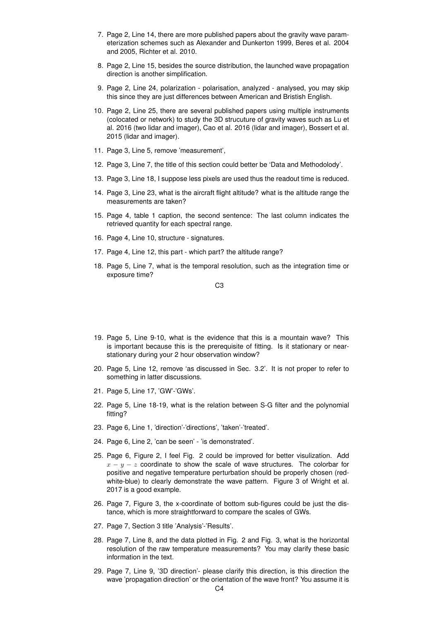- 7. Page 2, Line 14, there are more published papers about the gravity wave parameterization schemes such as Alexander and Dunkerton 1999, Beres et al. 2004 and 2005, Richter et al. 2010.
- 8. Page 2, Line 15, besides the source distribution, the launched wave propagation direction is another simplification.
- 9. Page 2, Line 24, polarization polarisation, analyzed analysed, you may skip this since they are just differences between American and Bristish English.
- 10. Page 2, Line 25, there are several published papers using multiple instruments (colocated or network) to study the 3D strucuture of gravity waves such as Lu et al. 2016 (two lidar and imager), Cao et al. 2016 (lidar and imager), Bossert et al. 2015 (lidar and imager).
- 11. Page 3, Line 5, remove 'measurement',
- 12. Page 3, Line 7, the title of this section could better be 'Data and Methodolody'.
- 13. Page 3, Line 18, I suppose less pixels are used thus the readout time is reduced.
- 14. Page 3, Line 23, what is the aircraft flight altitude? what is the altitude range the measurements are taken?
- 15. Page 4, table 1 caption, the second sentence: The last column indicates the retrieved quantity for each spectral range.
- 16. Page 4, Line 10, structure signatures.
- 17. Page 4, Line 12, this part which part? the altitude range?
- 18. Page 5, Line 7, what is the temporal resolution, such as the integration time or exposure time?

C3

- 19. Page 5, Line 9-10, what is the evidence that this is a mountain wave? This is important because this is the prerequisite of fitting. Is it stationary or nearstationary during your 2 hour observation window?
- 20. Page 5, Line 12, remove 'as discussed in Sec. 3.2'. It is not proper to refer to something in latter discussions.
- 21. Page 5, Line 17, 'GW'-'GWs'.
- 22. Page 5, Line 18-19, what is the relation between S-G filter and the polynomial fitting?
- 23. Page 6, Line 1, 'direction'-'directions', 'taken'-'treated'.
- 24. Page 6, Line 2, 'can be seen' 'is demonstrated'.
- 25. Page 6, Figure 2, I feel Fig. 2 could be improved for better visulization. Add  $x - y - z$  coordinate to show the scale of wave structures. The colorbar for positive and negative temperature perturbation should be properly chosen (redwhite-blue) to clearly demonstrate the wave pattern. Figure 3 of Wright et al. 2017 is a good example.
- 26. Page 7, Figure 3, the x-coordinate of bottom sub-figures could be just the distance, which is more straightforward to compare the scales of GWs.
- 27. Page 7, Section 3 title 'Analysis'-'Results'.
- 28. Page 7, Line 8, and the data plotted in Fig. 2 and Fig. 3, what is the horizontal resolution of the raw temperature measurements? You may clarify these basic information in the text.
- 29. Page 7, Line 9, '3D direction'- please clarify this direction, is this direction the wave 'propagation direction' or the orientation of the wave front? You assume it is